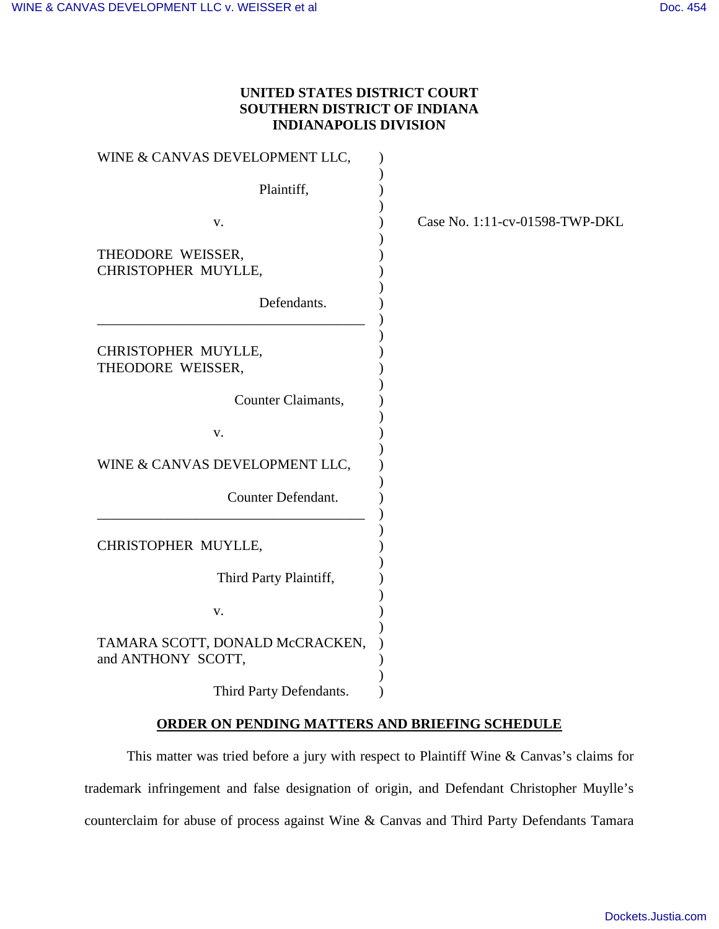## **UNITED STATES DISTRICT COURT SOUTHERN DISTRICT OF INDIANA INDIANAPOLIS DIVISION**

| WINE & CANVAS DEVELOPMENT LLC,                        |  |
|-------------------------------------------------------|--|
| Plaintiff,                                            |  |
| v.                                                    |  |
| THEODORE WEISSER,<br>CHRISTOPHER MUYLLE,              |  |
| Defendants.                                           |  |
| CHRISTOPHER MUYLLE,<br>THEODORE WEISSER,              |  |
| Counter Claimants,                                    |  |
| v.                                                    |  |
| WINE & CANVAS DEVELOPMENT LLC,                        |  |
| Counter Defendant.                                    |  |
| CHRISTOPHER MUYLLE,                                   |  |
| Third Party Plaintiff,                                |  |
| v.                                                    |  |
| TAMARA SCOTT, DONALD McCRACKEN,<br>and ANTHONY SCOTT, |  |
| Third Party Defendants.                               |  |

## **ORDER ON PENDING MATTERS AND BRIEFING SCHEDULE**

This matter was tried before a jury with respect to Plaintiff Wine & Canvas's claims for trademark infringement and false designation of origin, and Defendant Christopher Muylle's counterclaim for abuse of process against Wine & Canvas and Third Party Defendants Tamara

Case No. 1:11-cv-01598-TWP-DKL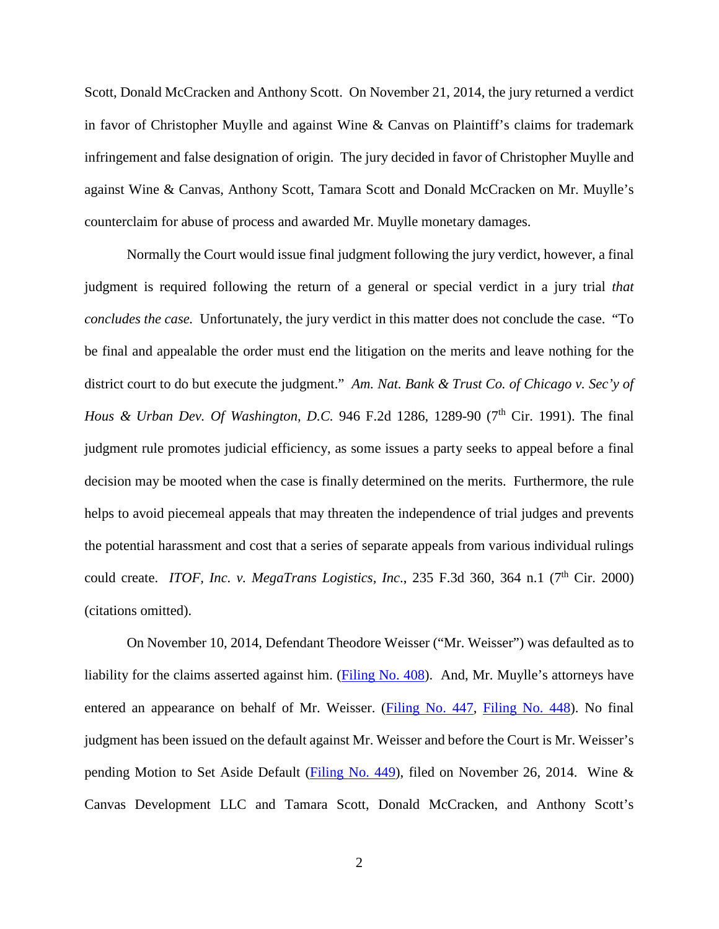Scott, Donald McCracken and Anthony Scott. On November 21, 2014, the jury returned a verdict in favor of Christopher Muylle and against Wine & Canvas on Plaintiff's claims for trademark infringement and false designation of origin. The jury decided in favor of Christopher Muylle and against Wine & Canvas, Anthony Scott, Tamara Scott and Donald McCracken on Mr. Muylle's counterclaim for abuse of process and awarded Mr. Muylle monetary damages.

Normally the Court would issue final judgment following the jury verdict, however, a final judgment is required following the return of a general or special verdict in a jury trial *that concludes the case.* Unfortunately, the jury verdict in this matter does not conclude the case. "To be final and appealable the order must end the litigation on the merits and leave nothing for the district court to do but execute the judgment." *Am. Nat. Bank & Trust Co. of Chicago v. Sec'y of Hous & Urban Dev. Of Washington, D.C.* 946 F.2d 1286, 1289-90 (7<sup>th</sup> Cir. 1991). The final judgment rule promotes judicial efficiency, as some issues a party seeks to appeal before a final decision may be mooted when the case is finally determined on the merits. Furthermore, the rule helps to avoid piecemeal appeals that may threaten the independence of trial judges and prevents the potential harassment and cost that a series of separate appeals from various individual rulings could create. *ITOF, Inc. v. MegaTrans Logistics, Inc.*, 235 F.3d 360, 364 n.1 (7<sup>th</sup> Cir. 2000) (citations omitted).

On November 10, 2014, Defendant Theodore Weisser ("Mr. Weisser") was defaulted as to liability for the claims asserted against him. [\(Filing No. 408\)](https://ecf.insd.uscourts.gov/doc1/07314588138). And, Mr. Muylle's attorneys have entered an appearance on behalf of Mr. Weisser. [\(Filing No. 447,](https://ecf.insd.uscourts.gov/doc1/07314611025) [Filing No. 448\)](https://ecf.insd.uscourts.gov/doc1/07314611037). No final judgment has been issued on the default against Mr. Weisser and before the Court is Mr. Weisser's pending Motion to Set Aside Default [\(Filing No. 449\)](https://ecf.insd.uscourts.gov/doc1/07314611046), filed on November 26, 2014. Wine & Canvas Development LLC and Tamara Scott, Donald McCracken, and Anthony Scott's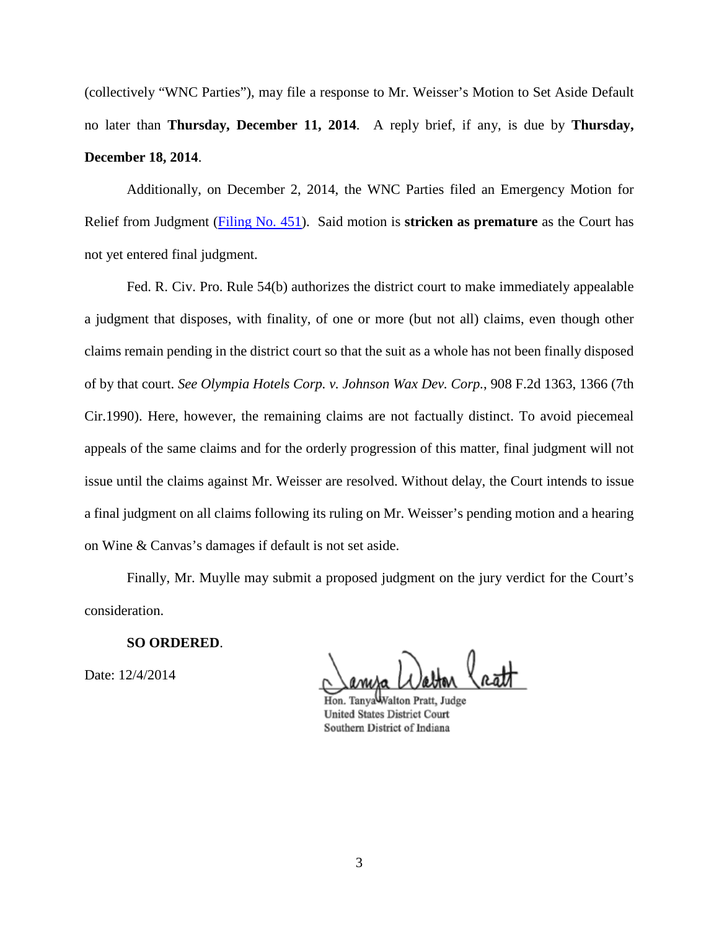(collectively "WNC Parties"), may file a response to Mr. Weisser's Motion to Set Aside Default no later than **Thursday, December 11, 2014**. A reply brief, if any, is due by **Thursday, December 18, 2014**.

Additionally, on December 2, 2014, the WNC Parties filed an Emergency Motion for Relief from Judgment [\(Filing No. 451\)](https://ecf.insd.uscourts.gov/doc1/07314614068). Said motion is **stricken as premature** as the Court has not yet entered final judgment.

Fed. R. Civ. Pro. [Rule 54\(b\)](https://a.next.westlaw.com/Link/Document/FullText?findType=L&pubNum=1004365&cite=USFRCPR54&originatingDoc=I94b26424799411d99c4dbb2f0352441d&refType=LQ&originationContext=document&transitionType=DocumentItem&contextData=(sc.UserEnteredCitation)) authorizes the district court to make immediately appealable a judgment that disposes, with finality, of one or more (but not all) claims, even though other claims remain pending in the district court so that the suit as a whole has not been finally disposed of by that court. *See [Olympia Hotels Corp. v. Johnson Wax Dev. Corp.](https://a.next.westlaw.com/Link/Document/FullText?findType=Y&serNum=1990110256&pubNum=350&fi=co_pp_sp_350_1366&originationContext=document&transitionType=DocumentItem&contextData=(sc.UserEnteredCitation)%23co_pp_sp_350_1366)*, 908 F.2d 1363, 1366 (7th [Cir.1990\).](https://a.next.westlaw.com/Link/Document/FullText?findType=Y&serNum=1990110256&pubNum=350&fi=co_pp_sp_350_1366&originationContext=document&transitionType=DocumentItem&contextData=(sc.UserEnteredCitation)%23co_pp_sp_350_1366) Here, however, the remaining claims are not factually distinct. To avoid piecemeal appeals of the same claims and for the orderly progression of this matter, final judgment will not issue until the claims against Mr. Weisser are resolved. Without delay, the Court intends to issue a final judgment on all claims following its ruling on Mr. Weisser's pending motion and a hearing on Wine & Canvas's damages if default is not set aside.

Finally, Mr. Muylle may submit a proposed judgment on the jury verdict for the Court's consideration.

## **SO ORDERED**.

Date: 12/4/2014

Hon. TanyaWalton Pratt, Judge **United States District Court** Southern District of Indiana